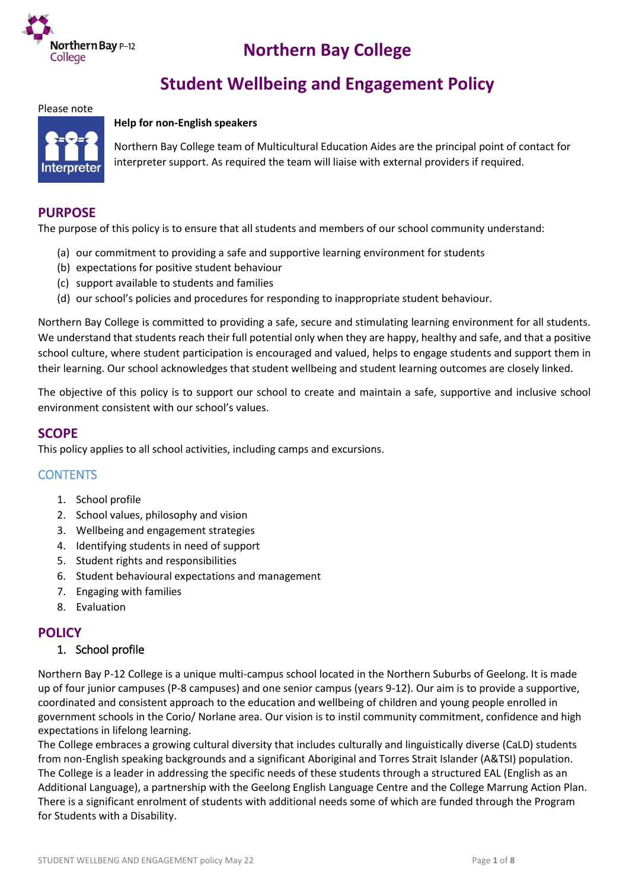

# **Northern Bay College**

# **Student Wellbeing and Engagement Policy**

#### Please note

#### **Help for non-English speakers**



Northern Bay College team of Multicultural Education Aides are the principal point of contact for interpreter support. As required the team will liaise with external providers if required.

#### **PURPOSE**

The purpose of this policy is to ensure that all students and members of our school community understand:

- (a) our commitment to providing a safe and supportive learning environment for students
- (b) expectations for positive student behaviour
- (c) support available to students and families
- (d) our school's policies and procedures for responding to inappropriate student behaviour.

Northern Bay College is committed to providing a safe, secure and stimulating learning environment for all students. We understand that students reach their full potential only when they are happy, healthy and safe, and that a positive school culture, where student participation is encouraged and valued, helps to engage students and support them in their learning. Our school acknowledges that student wellbeing and student learning outcomes are closely linked.

The objective of this policy is to support our school to create and maintain a safe, supportive and inclusive school environment consistent with our school's values.

# **SCOPE**

This policy applies to all school activities, including camps and excursions.

#### **CONTENTS**

- 1. School profile
- 2. School values, philosophy and vision
- 3. Wellbeing and engagement strategies
- 4. Identifying students in need of support
- 5. Student rights and responsibilities
- 6. Student behavioural expectations and management
- 7. Engaging with families
- 8. Evaluation

#### **POLICY**

#### 1. School profile

Northern Bay P-12 College is a unique multi-campus school located in the Northern Suburbs of Geelong. It is made up of four junior campuses (P-8 campuses) and one senior campus (years 9-12). Our aim is to provide a supportive, coordinated and consistent approach to the education and wellbeing of children and young people enrolled in government schools in the Corio/ Norlane area. Our vision is to instil community commitment, confidence and high expectations in lifelong learning.

The College embraces a growing cultural diversity that includes culturally and linguistically diverse (CaLD) students from non-English speaking backgrounds and a significant Aboriginal and Torres Strait Islander (A&TSI) population. The College is a leader in addressing the specific needs of these students through a structured EAL (English as an Additional Language), a partnership with the Geelong English Language Centre and the College Marrung Action Plan. There is a significant enrolment of students with additional needs some of which are funded through the Program for Students with a Disability.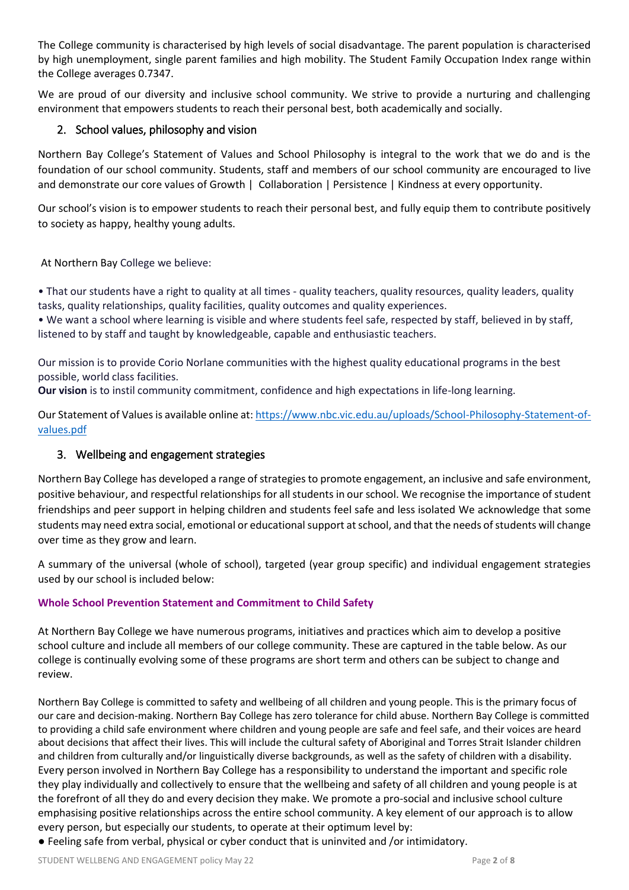The College community is characterised by high levels of social disadvantage. The parent population is characterised by high unemployment, single parent families and high mobility. The Student Family Occupation Index range within the College averages 0.7347.

We are proud of our diversity and inclusive school community. We strive to provide a nurturing and challenging environment that empowers students to reach their personal best, both academically and socially.

# 2. School values, philosophy and vision

Northern Bay College's Statement of Values and School Philosophy is integral to the work that we do and is the foundation of our school community. Students, staff and members of our school community are encouraged to live and demonstrate our core values of Growth | Collaboration | Persistence | Kindness at every opportunity.

Our school's vision is to empower students to reach their personal best, and fully equip them to contribute positively to society as happy, healthy young adults.

At Northern Bay College we believe:

• That our students have a right to quality at all times - quality teachers, quality resources, quality leaders, quality tasks, quality relationships, quality facilities, quality outcomes and quality experiences.

• We want a school where learning is visible and where students feel safe, respected by staff, believed in by staff, listened to by staff and taught by knowledgeable, capable and enthusiastic teachers.

Our mission is to provide Corio Norlane communities with the highest quality educational programs in the best possible, world class facilities.

**Our vision** is to instil community commitment, confidence and high expectations in life-long learning.

Our Statement of Values is available online at: [https://www.nbc.vic.edu.au/uploads/School-Philosophy-Statement-of](https://www.nbc.vic.edu.au/uploads/School-Philosophy-Statement-of-values.pdf)[values.pdf](https://www.nbc.vic.edu.au/uploads/School-Philosophy-Statement-of-values.pdf)

#### 3. Wellbeing and engagement strategies

Northern Bay College has developed a range of strategies to promote engagement, an inclusive and safe environment, positive behaviour, and respectful relationships for all students in our school. We recognise the importance of student friendships and peer support in helping children and students feel safe and less isolated We acknowledge that some students may need extra social, emotional or educational support at school, and that the needs of students will change over time as they grow and learn.

A summary of the universal (whole of school), targeted (year group specific) and individual engagement strategies used by our school is included below:

#### **Whole School Prevention Statement and Commitment to Child Safety**

At Northern Bay College we have numerous programs, initiatives and practices which aim to develop a positive school culture and include all members of our college community. These are captured in the table below. As our college is continually evolving some of these programs are short term and others can be subject to change and review.

Northern Bay College is committed to safety and wellbeing of all children and young people. This is the primary focus of our care and decision-making. Northern Bay College has zero tolerance for child abuse. Northern Bay College is committed to providing a child safe environment where children and young people are safe and feel safe, and their voices are heard about decisions that affect their lives. This will include the cultural safety of Aboriginal and Torres Strait Islander children and children from culturally and/or linguistically diverse backgrounds, as well as the safety of children with a disability. Every person involved in Northern Bay College has a responsibility to understand the important and specific role they play individually and collectively to ensure that the wellbeing and safety of all children and young people is at the forefront of all they do and every decision they make. We promote a pro-social and inclusive school culture emphasising positive relationships across the entire school community. A key element of our approach is to allow every person, but especially our students, to operate at their optimum level by:

● Feeling safe from verbal, physical or cyber conduct that is uninvited and /or intimidatory.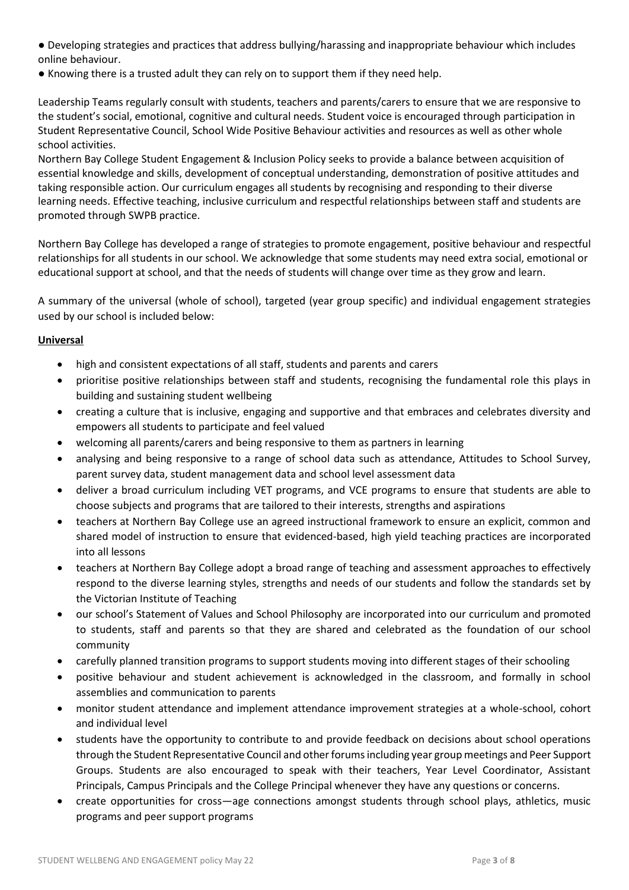- Developing strategies and practices that address bullying/harassing and inappropriate behaviour which includes online behaviour.
- Knowing there is a trusted adult they can rely on to support them if they need help.

Leadership Teams regularly consult with students, teachers and parents/carers to ensure that we are responsive to the student's social, emotional, cognitive and cultural needs. Student voice is encouraged through participation in Student Representative Council, School Wide Positive Behaviour activities and resources as well as other whole school activities.

Northern Bay College Student Engagement & Inclusion Policy seeks to provide a balance between acquisition of essential knowledge and skills, development of conceptual understanding, demonstration of positive attitudes and taking responsible action. Our curriculum engages all students by recognising and responding to their diverse learning needs. Effective teaching, inclusive curriculum and respectful relationships between staff and students are promoted through SWPB practice.

Northern Bay College has developed a range of strategies to promote engagement, positive behaviour and respectful relationships for all students in our school. We acknowledge that some students may need extra social, emotional or educational support at school, and that the needs of students will change over time as they grow and learn.

A summary of the universal (whole of school), targeted (year group specific) and individual engagement strategies used by our school is included below:

#### **Universal**

- high and consistent expectations of all staff, students and parents and carers
- prioritise positive relationships between staff and students, recognising the fundamental role this plays in building and sustaining student wellbeing
- creating a culture that is inclusive, engaging and supportive and that embraces and celebrates diversity and empowers all students to participate and feel valued
- welcoming all parents/carers and being responsive to them as partners in learning
- analysing and being responsive to a range of school data such as attendance, Attitudes to School Survey, parent survey data, student management data and school level assessment data
- deliver a broad curriculum including VET programs, and VCE programs to ensure that students are able to choose subjects and programs that are tailored to their interests, strengths and aspirations
- teachers at Northern Bay College use an agreed instructional framework to ensure an explicit, common and shared model of instruction to ensure that evidenced-based, high yield teaching practices are incorporated into all lessons
- teachers at Northern Bay College adopt a broad range of teaching and assessment approaches to effectively respond to the diverse learning styles, strengths and needs of our students and follow the standards set by the Victorian Institute of Teaching
- our school's Statement of Values and School Philosophy are incorporated into our curriculum and promoted to students, staff and parents so that they are shared and celebrated as the foundation of our school community
- carefully planned transition programs to support students moving into different stages of their schooling
- positive behaviour and student achievement is acknowledged in the classroom, and formally in school assemblies and communication to parents
- monitor student attendance and implement attendance improvement strategies at a whole-school, cohort and individual level
- students have the opportunity to contribute to and provide feedback on decisions about school operations through the Student Representative Council and other forums including year group meetings and Peer Support Groups. Students are also encouraged to speak with their teachers, Year Level Coordinator, Assistant Principals, Campus Principals and the College Principal whenever they have any questions or concerns.
- create opportunities for cross—age connections amongst students through school plays, athletics, music programs and peer support programs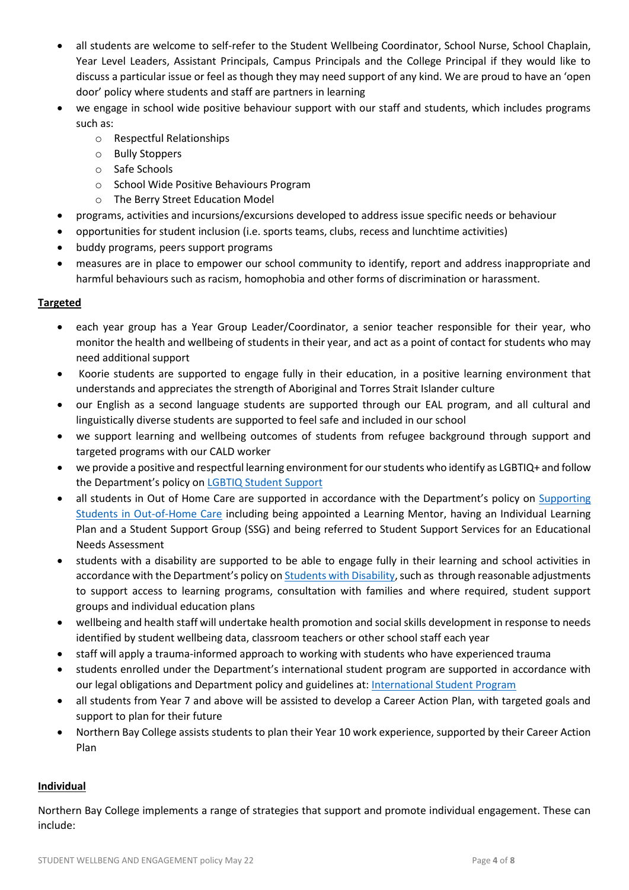- all students are welcome to self-refer to the Student Wellbeing Coordinator, School Nurse, School Chaplain, Year Level Leaders, Assistant Principals, Campus Principals and the College Principal if they would like to discuss a particular issue or feel as though they may need support of any kind. We are proud to have an 'open door' policy where students and staff are partners in learning
- we engage in school wide positive behaviour support with our staff and students, which includes programs such as:
	- o Respectful Relationships
	- o Bully Stoppers
	- o Safe Schools
	- o School Wide Positive Behaviours Program
	- o The Berry Street Education Model
- programs, activities and incursions/excursions developed to address issue specific needs or behaviour
- opportunities for student inclusion (i.e. sports teams, clubs, recess and lunchtime activities)
- buddy programs, peers support programs
- measures are in place to empower our school community to identify, report and address inappropriate and harmful behaviours such as racism, homophobia and other forms of discrimination or harassment.

#### **Targeted**

- each year group has a Year Group Leader/Coordinator, a senior teacher responsible for their year, who monitor the health and wellbeing of students in their year, and act as a point of contact for students who may need additional support
- Koorie students are supported to engage fully in their education, in a positive learning environment that understands and appreciates the strength of Aboriginal and Torres Strait Islander culture
- our English as a second language students are supported through our EAL program, and all cultural and linguistically diverse students are supported to feel safe and included in our school
- we support learning and wellbeing outcomes of students from refugee background through support and targeted programs with our CALD worker
- we provide a positive and respectful learning environment for our students who identify as LGBTIQ+ and follow the Department's policy on [LGBTIQ Student Support](https://www2.education.vic.gov.au/pal/lgbtiq-student-support/policy)
- all students in Out of Home Care are supported in accordance with the Department's policy on [Supporting](https://www2.education.vic.gov.au/pal/supporting-students-out-home-care/policy)  [Students in Out-of-Home Care](https://www2.education.vic.gov.au/pal/supporting-students-out-home-care/policy) including being appointed a Learning Mentor, having an Individual Learning Plan and a Student Support Group (SSG) and being referred to Student Support Services for an Educational Needs Assessment
- students with a disability are supported to be able to engage fully in their learning and school activities in accordance with the Department's policy on [Students with Disability,](https://www2.education.vic.gov.au/pal/students-disability/policy) such as through reasonable adjustments to support access to learning programs, consultation with families and where required, student support groups and individual education plans
- wellbeing and health staff will undertake health promotion and social skills development in response to needs identified by student wellbeing data, classroom teachers or other school staff each year
- staff will apply a trauma-informed approach to working with students who have experienced trauma
- students enrolled under the Department's international student program are supported in accordance with our legal obligations and Department policy and guidelines at[: International Student Program](https://www2.education.vic.gov.au/pal/international-student-program/guidance/supporting-students-learning-and-engagement-section-7)
- all students from Year 7 and above will be assisted to develop a Career Action Plan, with targeted goals and support to plan for their future
- Northern Bay College assists students to plan their Year 10 work experience, supported by their Career Action Plan

#### **Individual**

Northern Bay College implements a range of strategies that support and promote individual engagement. These can include: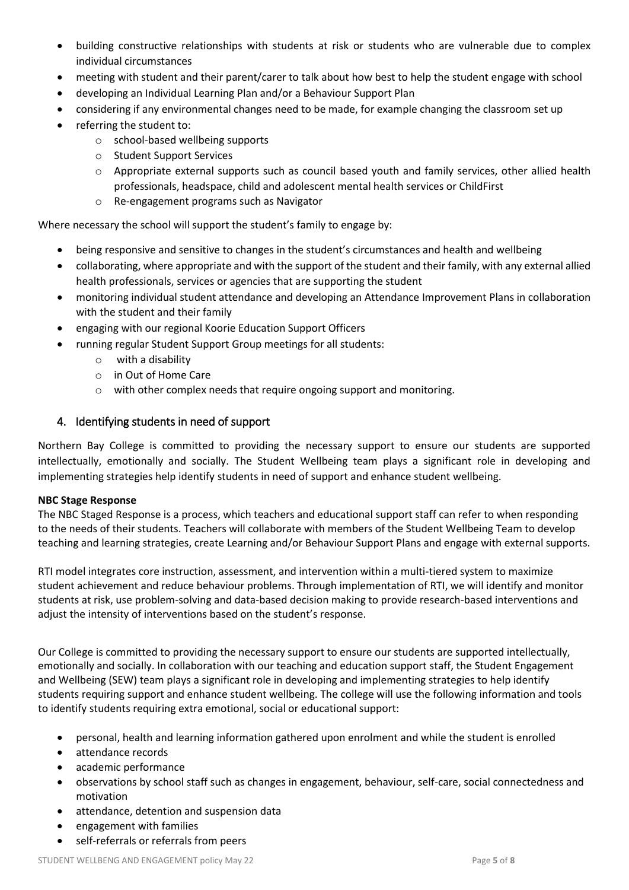- building constructive relationships with students at risk or students who are vulnerable due to complex individual circumstances
- meeting with student and their parent/carer to talk about how best to help the student engage with school
- developing an Individual Learning Plan and/or a Behaviour Support Plan
- considering if any environmental changes need to be made, for example changing the classroom set up
- referring the student to:
	- o school-based wellbeing supports
	- o Student Support Services
	- o Appropriate external supports such as council based youth and family services, other allied health professionals, headspace, child and adolescent mental health services or ChildFirst
	- o Re-engagement programs such as Navigator

Where necessary the school will support the student's family to engage by:

- being responsive and sensitive to changes in the student's circumstances and health and wellbeing
- collaborating, where appropriate and with the support of the student and their family, with any external allied health professionals, services or agencies that are supporting the student
- monitoring individual student attendance and developing an Attendance Improvement Plans in collaboration with the student and their family
- engaging with our regional Koorie Education Support Officers
- running regular Student Support Group meetings for all students:
	- o with a disability
	- o in Out of Home Care
	- o with other complex needs that require ongoing support and monitoring.

# 4. Identifying students in need of support

Northern Bay College is committed to providing the necessary support to ensure our students are supported intellectually, emotionally and socially. The Student Wellbeing team plays a significant role in developing and implementing strategies help identify students in need of support and enhance student wellbeing.

#### **NBC Stage Response**

The NBC Staged Response is a process, which teachers and educational support staff can refer to when responding to the needs of their students. Teachers will collaborate with members of the Student Wellbeing Team to develop teaching and learning strategies, create Learning and/or Behaviour Support Plans and engage with external supports.

RTI model integrates core instruction, assessment, and intervention within a multi-tiered system to maximize student achievement and reduce behaviour problems. Through implementation of RTI, we will identify and monitor students at risk, use problem-solving and data-based decision making to provide research-based interventions and adjust the intensity of interventions based on the student's response.

Our College is committed to providing the necessary support to ensure our students are supported intellectually, emotionally and socially. In collaboration with our teaching and education support staff, the Student Engagement and Wellbeing (SEW) team plays a significant role in developing and implementing strategies to help identify students requiring support and enhance student wellbeing. The college will use the following information and tools to identify students requiring extra emotional, social or educational support:

- personal, health and learning information gathered upon enrolment and while the student is enrolled
- attendance records
- academic performance
- observations by school staff such as changes in engagement, behaviour, self-care, social connectedness and motivation
- attendance, detention and suspension data
- engagement with families
- self-referrals or referrals from peers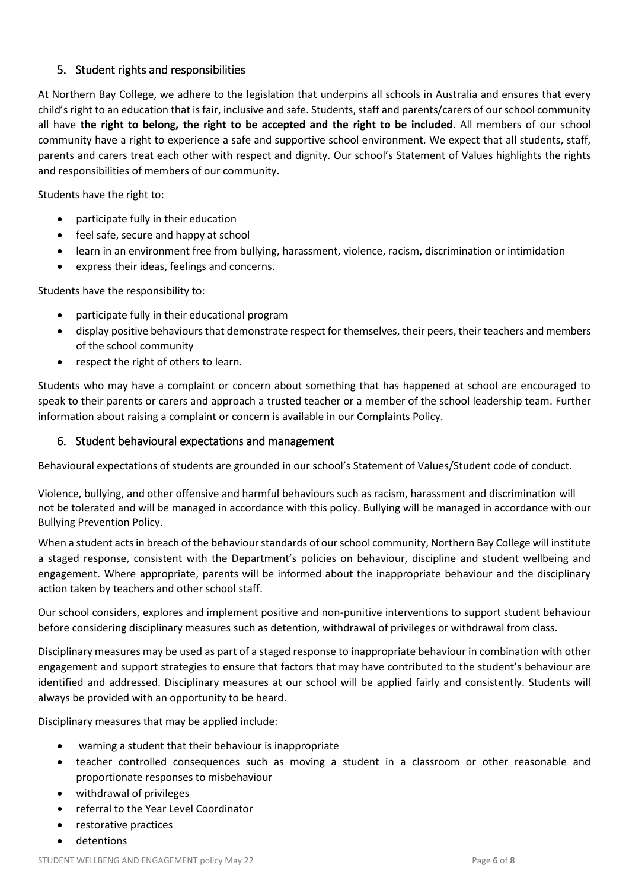# 5. Student rights and responsibilities

At Northern Bay College, we adhere to the legislation that underpins all schools in Australia and ensures that every child's right to an education that is fair, inclusive and safe. Students, staff and parents/carers of our school community all have **the right to belong, the right to be accepted and the right to be included**. All members of our school community have a right to experience a safe and supportive school environment. We expect that all students, staff, parents and carers treat each other with respect and dignity. Our school's Statement of Values highlights the rights and responsibilities of members of our community.

Students have the right to:

- participate fully in their education
- feel safe, secure and happy at school
- learn in an environment free from bullying, harassment, violence, racism, discrimination or intimidation
- express their ideas, feelings and concerns.

Students have the responsibility to:

- participate fully in their educational program
- display positive behaviours that demonstrate respect for themselves, their peers, their teachers and members of the school community
- respect the right of others to learn.

Students who may have a complaint or concern about something that has happened at school are encouraged to speak to their parents or carers and approach a trusted teacher or a member of the school leadership team. Further information about raising a complaint or concern is available in our Complaints Policy.

### 6. Student behavioural expectations and management

Behavioural expectations of students are grounded in our school's Statement of Values/Student code of conduct.

Violence, bullying, and other offensive and harmful behaviours such as racism, harassment and discrimination will not be tolerated and will be managed in accordance with this policy. Bullying will be managed in accordance with our Bullying Prevention Policy.

When a student acts in breach of the behaviour standards of our school community, Northern Bay College will institute a staged response, consistent with the Department's policies on behaviour, discipline and student wellbeing and engagement. Where appropriate, parents will be informed about the inappropriate behaviour and the disciplinary action taken by teachers and other school staff.

Our school considers, explores and implement positive and non-punitive interventions to support student behaviour before considering disciplinary measures such as detention, withdrawal of privileges or withdrawal from class.

Disciplinary measures may be used as part of a staged response to inappropriate behaviour in combination with other engagement and support strategies to ensure that factors that may have contributed to the student's behaviour are identified and addressed. Disciplinary measures at our school will be applied fairly and consistently. Students will always be provided with an opportunity to be heard.

Disciplinary measures that may be applied include:

- warning a student that their behaviour is inappropriate
- teacher controlled consequences such as moving a student in a classroom or other reasonable and proportionate responses to misbehaviour
- withdrawal of privileges
- referral to the Year Level Coordinator
- restorative practices
- detentions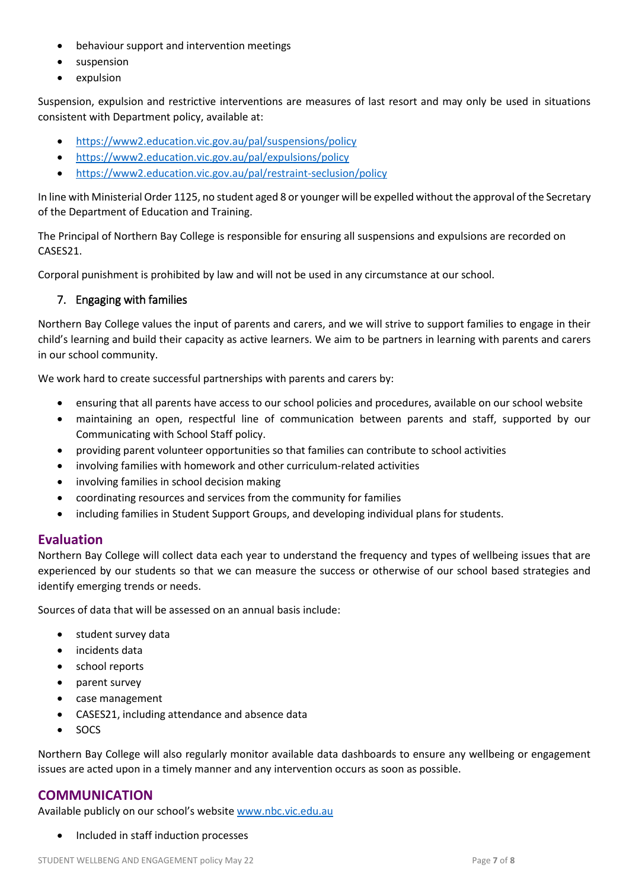- behaviour support and intervention meetings
- suspension
- expulsion

Suspension, expulsion and restrictive interventions are measures of last resort and may only be used in situations consistent with Department policy, available at:

- <https://www2.education.vic.gov.au/pal/suspensions/policy>
- <https://www2.education.vic.gov.au/pal/expulsions/policy>
- <https://www2.education.vic.gov.au/pal/restraint-seclusion/policy>

In line with Ministerial Order 1125, no student aged 8 or younger will be expelled without the approval of the Secretary of the Department of Education and Training.

The Principal of Northern Bay College is responsible for ensuring all suspensions and expulsions are recorded on CASES21.

Corporal punishment is prohibited by law and will not be used in any circumstance at our school.

# 7. Engaging with families

Northern Bay College values the input of parents and carers, and we will strive to support families to engage in their child's learning and build their capacity as active learners. We aim to be partners in learning with parents and carers in our school community.

We work hard to create successful partnerships with parents and carers by:

- ensuring that all parents have access to our school policies and procedures, available on our school website
- maintaining an open, respectful line of communication between parents and staff, supported by our Communicating with School Staff policy.
- providing parent volunteer opportunities so that families can contribute to school activities
- involving families with homework and other curriculum-related activities
- involving families in school decision making
- coordinating resources and services from the community for families
- including families in Student Support Groups, and developing individual plans for students.

# **Evaluation**

Northern Bay College will collect data each year to understand the frequency and types of wellbeing issues that are experienced by our students so that we can measure the success or otherwise of our school based strategies and identify emerging trends or needs.

Sources of data that will be assessed on an annual basis include:

- student survey data
- incidents data
- school reports
- parent survey
- case management
- CASES21, including attendance and absence data
- SOCS

Northern Bay College will also regularly monitor available data dashboards to ensure any wellbeing or engagement issues are acted upon in a timely manner and any intervention occurs as soon as possible.

# **COMMUNICATION**

Available publicly on our school's website [www.nbc.vic.edu.au](http://www.nbc.vic.edu.au/)

Included in staff induction processes